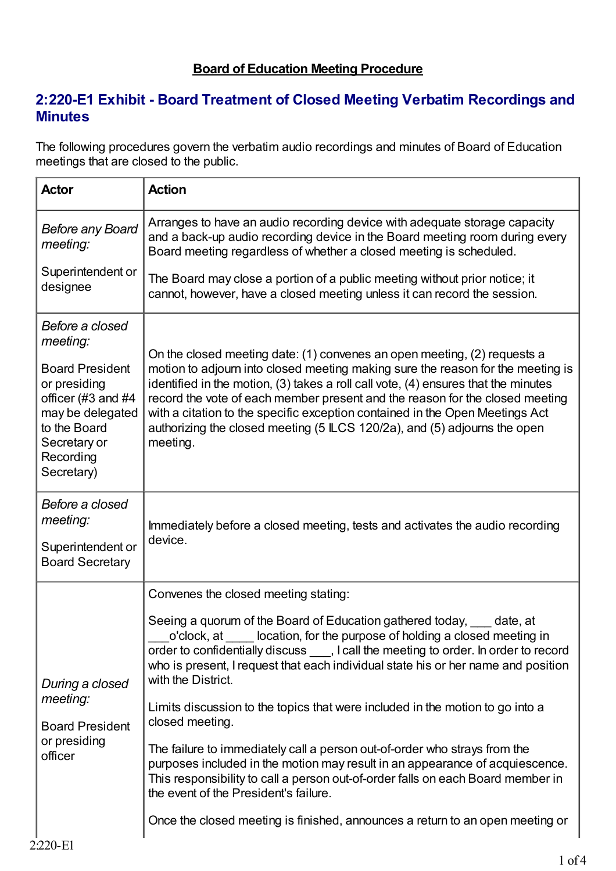## **Board of Education Meeting Procedure**

## **2:220-E1 Exhibit - Board Treatment of Closed Meeting Verbatim Recordings and Minutes**

The following procedures govern the verbatim audio recordings and minutes of Board of Education meetings that are closed to the public.

| <b>Actor</b>                                                                                                                                                               | <b>Action</b>                                                                                                                                                                                                                                                                                                                                                                                                                                                                                                                                                                                                                                                                                                                                                                                                                                                       |
|----------------------------------------------------------------------------------------------------------------------------------------------------------------------------|---------------------------------------------------------------------------------------------------------------------------------------------------------------------------------------------------------------------------------------------------------------------------------------------------------------------------------------------------------------------------------------------------------------------------------------------------------------------------------------------------------------------------------------------------------------------------------------------------------------------------------------------------------------------------------------------------------------------------------------------------------------------------------------------------------------------------------------------------------------------|
| <b>Before any Board</b><br>meeting:                                                                                                                                        | Arranges to have an audio recording device with adequate storage capacity<br>and a back-up audio recording device in the Board meeting room during every<br>Board meeting regardless of whether a closed meeting is scheduled.                                                                                                                                                                                                                                                                                                                                                                                                                                                                                                                                                                                                                                      |
| Superintendent or<br>designee                                                                                                                                              | The Board may close a portion of a public meeting without prior notice; it<br>cannot, however, have a closed meeting unless it can record the session.                                                                                                                                                                                                                                                                                                                                                                                                                                                                                                                                                                                                                                                                                                              |
| Before a closed<br>meeting:<br><b>Board President</b><br>or presiding<br>officer (#3 and #4<br>may be delegated<br>to the Board<br>Secretary or<br>Recording<br>Secretary) | On the closed meeting date: (1) convenes an open meeting, (2) requests a<br>motion to adjourn into closed meeting making sure the reason for the meeting is<br>identified in the motion, (3) takes a roll call vote, (4) ensures that the minutes<br>record the vote of each member present and the reason for the closed meeting<br>with a citation to the specific exception contained in the Open Meetings Act<br>authorizing the closed meeting (5 ILCS 120/2a), and (5) adjourns the open<br>meeting.                                                                                                                                                                                                                                                                                                                                                          |
| Before a closed<br>meeting:<br>Superintendent or<br><b>Board Secretary</b>                                                                                                 | Immediately before a closed meeting, tests and activates the audio recording<br>device.                                                                                                                                                                                                                                                                                                                                                                                                                                                                                                                                                                                                                                                                                                                                                                             |
| During a closed<br>meeting:<br><b>Board President</b><br>or presiding<br>officer                                                                                           | Convenes the closed meeting stating:<br>Seeing a quorum of the Board of Education gathered today, date, at<br>location, for the purpose of holding a closed meeting in<br>o'clock, at<br>order to confidentially discuss , I call the meeting to order. In order to record<br>who is present, I request that each individual state his or her name and position<br>with the District.<br>Limits discussion to the topics that were included in the motion to go into a<br>closed meeting.<br>The failure to immediately call a person out-of-order who strays from the<br>purposes included in the motion may result in an appearance of acquiescence.<br>This responsibility to call a person out-of-order falls on each Board member in<br>the event of the President's failure.<br>Once the closed meeting is finished, announces a return to an open meeting or |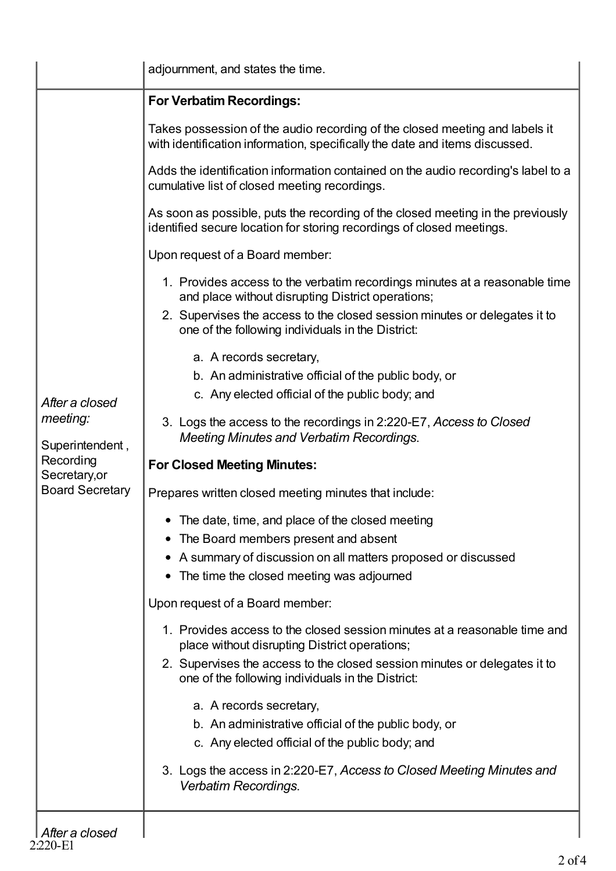|                                                                                                       | adjournment, and states the time.                                                                                                                          |
|-------------------------------------------------------------------------------------------------------|------------------------------------------------------------------------------------------------------------------------------------------------------------|
|                                                                                                       | <b>For Verbatim Recordings:</b>                                                                                                                            |
|                                                                                                       | Takes possession of the audio recording of the closed meeting and labels it<br>with identification information, specifically the date and items discussed. |
|                                                                                                       | Adds the identification information contained on the audio recording's label to a<br>cumulative list of closed meeting recordings.                         |
|                                                                                                       | As soon as possible, puts the recording of the closed meeting in the previously<br>identified secure location for storing recordings of closed meetings.   |
|                                                                                                       | Upon request of a Board member:                                                                                                                            |
|                                                                                                       | 1. Provides access to the verbatim recordings minutes at a reasonable time<br>and place without disrupting District operations;                            |
|                                                                                                       | 2. Supervises the access to the closed session minutes or delegates it to<br>one of the following individuals in the District:                             |
|                                                                                                       | a. A records secretary,                                                                                                                                    |
|                                                                                                       | b. An administrative official of the public body, or                                                                                                       |
|                                                                                                       | c. Any elected official of the public body; and                                                                                                            |
| After a closed<br>meeting:<br>Superintendent,<br>Recording<br>Secretary, or<br><b>Board Secretary</b> | 3. Logs the access to the recordings in 2:220-E7, Access to Closed<br><b>Meeting Minutes and Verbatim Recordings.</b>                                      |
|                                                                                                       | <b>For Closed Meeting Minutes:</b>                                                                                                                         |
|                                                                                                       |                                                                                                                                                            |
|                                                                                                       | Prepares written closed meeting minutes that include:                                                                                                      |
|                                                                                                       | The date, time, and place of the closed meeting                                                                                                            |
|                                                                                                       | The Board members present and absent                                                                                                                       |
|                                                                                                       | A summary of discussion on all matters proposed or discussed                                                                                               |
|                                                                                                       | The time the closed meeting was adjourned<br>$\bullet$                                                                                                     |
|                                                                                                       | Upon request of a Board member:                                                                                                                            |
|                                                                                                       | 1. Provides access to the closed session minutes at a reasonable time and<br>place without disrupting District operations;                                 |
|                                                                                                       | 2. Supervises the access to the closed session minutes or delegates it to<br>one of the following individuals in the District:                             |
|                                                                                                       | a. A records secretary,                                                                                                                                    |
|                                                                                                       | b. An administrative official of the public body, or                                                                                                       |
|                                                                                                       | c. Any elected official of the public body; and                                                                                                            |
|                                                                                                       | 3. Logs the access in 2:220-E7, Access to Closed Meeting Minutes and<br>Verbatim Recordings.                                                               |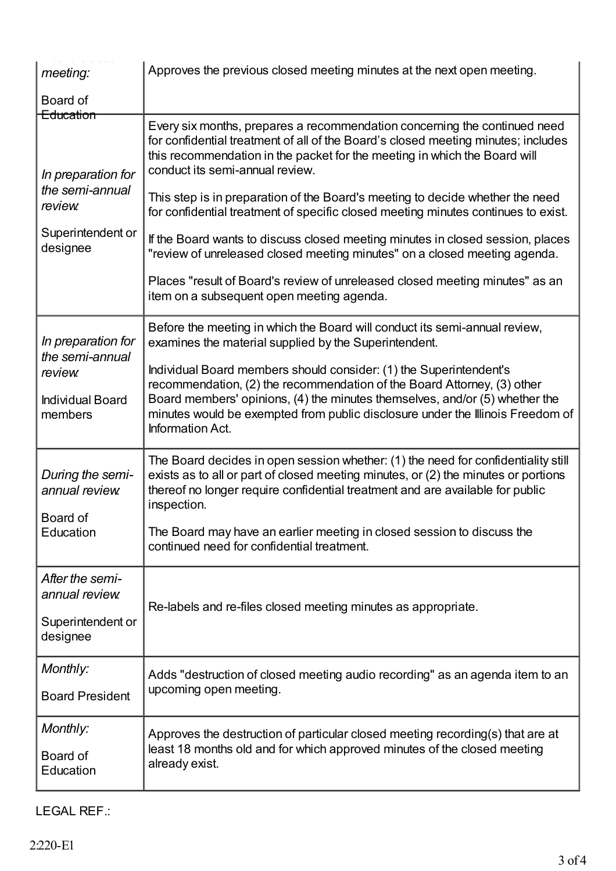| meeting:                                                                                       | Approves the previous closed meeting minutes at the next open meeting.                                                                                                                                                                                                                                                             |
|------------------------------------------------------------------------------------------------|------------------------------------------------------------------------------------------------------------------------------------------------------------------------------------------------------------------------------------------------------------------------------------------------------------------------------------|
| Board of                                                                                       |                                                                                                                                                                                                                                                                                                                                    |
| Education<br>In preparation for<br>the semi-annual<br>review.<br>Superintendent or<br>designee | Every six months, prepares a recommendation concerning the continued need<br>for confidential treatment of all of the Board's closed meeting minutes; includes<br>this recommendation in the packet for the meeting in which the Board will<br>conduct its semi-annual review.                                                     |
|                                                                                                | This step is in preparation of the Board's meeting to decide whether the need<br>for confidential treatment of specific closed meeting minutes continues to exist.                                                                                                                                                                 |
|                                                                                                | If the Board wants to discuss closed meeting minutes in closed session, places<br>"review of unreleased closed meeting minutes" on a closed meeting agenda.                                                                                                                                                                        |
|                                                                                                | Places "result of Board's review of unreleased closed meeting minutes" as an<br>item on a subsequent open meeting agenda.                                                                                                                                                                                                          |
| In preparation for<br>the semi-annual<br>review.<br><b>Individual Board</b><br>members         | Before the meeting in which the Board will conduct its semi-annual review,<br>examines the material supplied by the Superintendent.                                                                                                                                                                                                |
|                                                                                                | Individual Board members should consider: (1) the Superintendent's<br>recommendation, (2) the recommendation of the Board Attorney, (3) other<br>Board members' opinions, (4) the minutes themselves, and/or (5) whether the<br>minutes would be exempted from public disclosure under the Illinois Freedom of<br>Information Act. |
| During the semi-<br>annual review.<br>Board of<br>Education                                    | The Board decides in open session whether: (1) the need for confidentiality still<br>exists as to all or part of closed meeting minutes, or (2) the minutes or portions<br>thereof no longer require confidential treatment and are available for public<br>inspection.                                                            |
|                                                                                                | The Board may have an earlier meeting in closed session to discuss the<br>continued need for confidential treatment.                                                                                                                                                                                                               |
| After the semi-<br>annual review.                                                              | Re-labels and re-files closed meeting minutes as appropriate.                                                                                                                                                                                                                                                                      |
| Superintendent or<br>designee                                                                  |                                                                                                                                                                                                                                                                                                                                    |
| Monthly:                                                                                       | Adds "destruction of closed meeting audio recording" as an agenda item to an                                                                                                                                                                                                                                                       |
| <b>Board President</b>                                                                         | upcoming open meeting.                                                                                                                                                                                                                                                                                                             |
| Monthly:<br>Board of<br>Education                                                              | Approves the destruction of particular closed meeting recording(s) that are at<br>least 18 months old and for which approved minutes of the closed meeting<br>already exist.                                                                                                                                                       |

LEGAL REF.: